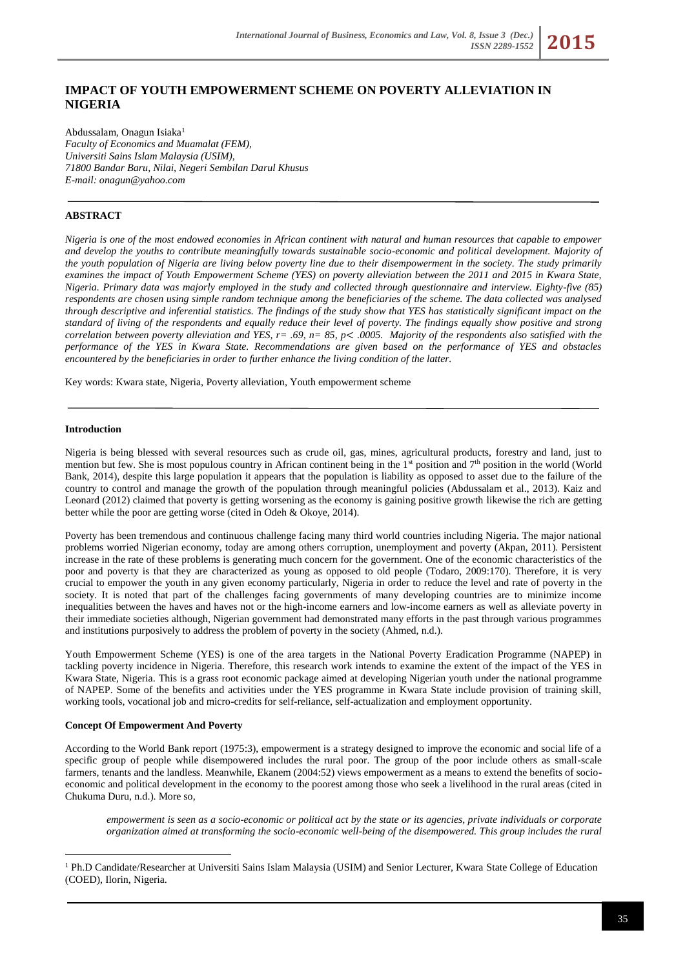# **IMPACT OF YOUTH EMPOWERMENT SCHEME ON POVERTY ALLEVIATION IN NIGERIA**

Abdussalam, Onagun Isiaka<sup>1</sup> *Faculty of Economics and Muamalat (FEM), Universiti Sains Islam Malaysia (USIM), 71800 Bandar Baru, Nilai, Negeri Sembilan Darul Khusus E-mail[: onagun@yahoo.com](mailto:onagun@yahoo.com)*

# **ABSTRACT**

*Nigeria is one of the most endowed economies in African continent with natural and human resources that capable to empower and develop the youths to contribute meaningfully towards sustainable socio-economic and political development. Majority of the youth population of Nigeria are living below poverty line due to their disempowerment in the society. The study primarily examines the impact of Youth Empowerment Scheme (YES) on poverty alleviation between the 2011 and 2015 in Kwara State, Nigeria. Primary data was majorly employed in the study and collected through questionnaire and interview. Eighty-five (85) respondents are chosen using simple random technique among the beneficiaries of the scheme. The data collected was analysed through descriptive and inferential statistics. The findings of the study show that YES has statistically significant impact on the standard of living of the respondents and equally reduce their level of poverty. The findings equally show positive and strong correlation between poverty alleviation and YES, r= .69, n= 85, p*< *.0005. Majority of the respondents also satisfied with the performance of the YES in Kwara State. Recommendations are given based on the performance of YES and obstacles encountered by the beneficiaries in order to further enhance the living condition of the latter.* 

Key words: Kwara state, Nigeria, Poverty alleviation, Youth empowerment scheme

#### **Introduction**

<u>.</u>

Nigeria is being blessed with several resources such as crude oil, gas, mines, agricultural products, forestry and land, just to mention but few. She is most populous country in African continent being in the 1<sup>st</sup> position and 7<sup>th</sup> position in the world (World Bank, 2014), despite this large population it appears that the population is liability as opposed to asset due to the failure of the country to control and manage the growth of the population through meaningful policies (Abdussalam et al., 2013). Kaiz and Leonard (2012) claimed that poverty is getting worsening as the economy is gaining positive growth likewise the rich are getting better while the poor are getting worse (cited in Odeh & Okoye, 2014).

Poverty has been tremendous and continuous challenge facing many third world countries including Nigeria. The major national problems worried Nigerian economy, today are among others corruption, unemployment and poverty (Akpan, 2011). Persistent increase in the rate of these problems is generating much concern for the government. One of the economic characteristics of the poor and poverty is that they are characterized as young as opposed to old people (Todaro, 2009:170). Therefore, it is very crucial to empower the youth in any given economy particularly, Nigeria in order to reduce the level and rate of poverty in the society. It is noted that part of the challenges facing governments of many developing countries are to minimize income inequalities between the haves and haves not or the high-income earners and low-income earners as well as alleviate poverty in their immediate societies although, Nigerian government had demonstrated many efforts in the past through various programmes and institutions purposively to address the problem of poverty in the society (Ahmed, n.d.).

Youth Empowerment Scheme (YES) is one of the area targets in the National Poverty Eradication Programme (NAPEP) in tackling poverty incidence in Nigeria. Therefore, this research work intends to examine the extent of the impact of the YES in Kwara State, Nigeria. This is a grass root economic package aimed at developing Nigerian youth under the national programme of NAPEP. Some of the benefits and activities under the YES programme in Kwara State include provision of training skill, working tools, vocational job and micro-credits for self-reliance, self-actualization and employment opportunity.

#### **Concept Of Empowerment And Poverty**

According to the World Bank report (1975:3), empowerment is a strategy designed to improve the economic and social life of a specific group of people while disempowered includes the rural poor. The group of the poor include others as small-scale farmers, tenants and the landless. Meanwhile, Ekanem (2004:52) views empowerment as a means to extend the benefits of socioeconomic and political development in the economy to the poorest among those who seek a livelihood in the rural areas (cited in Chukuma Duru, n.d.). More so,

*empowerment is seen as a socio-economic or political act by the state or its agencies, private individuals or corporate organization aimed at transforming the socio-economic well-being of the disempowered. This group includes the rural* 

<sup>1</sup> Ph.D Candidate/Researcher at Universiti Sains Islam Malaysia (USIM) and Senior Lecturer, Kwara State College of Education (COED), Ilorin, Nigeria.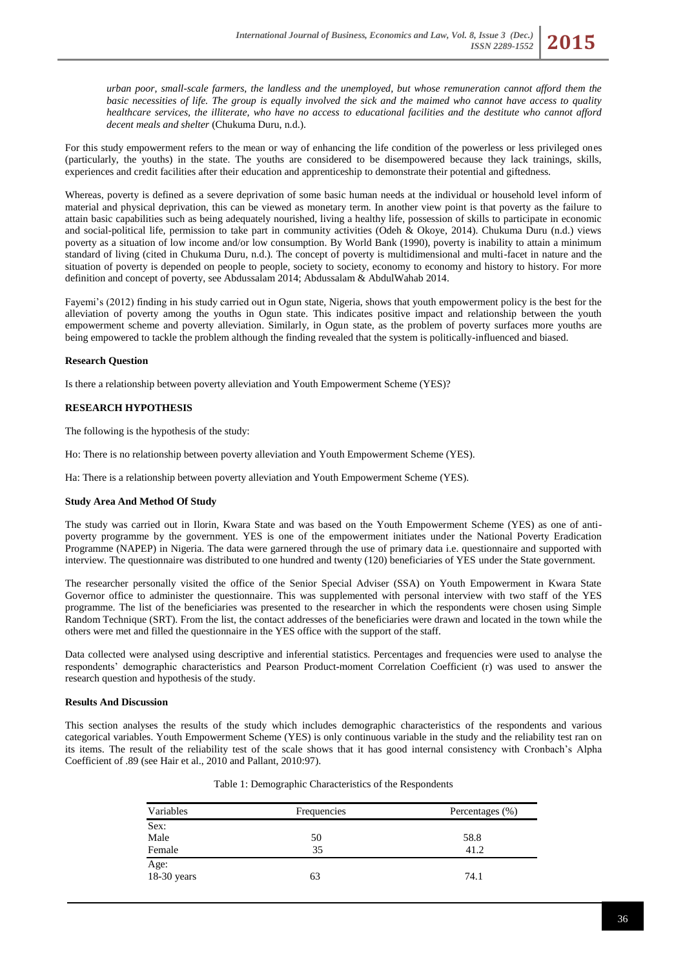*urban poor, small-scale farmers, the landless and the unemployed, but whose remuneration cannot afford them the basic necessities of life. The group is equally involved the sick and the maimed who cannot have access to quality healthcare services, the illiterate, who have no access to educational facilities and the destitute who cannot afford decent meals and shelter* (Chukuma Duru, n.d.).

For this study empowerment refers to the mean or way of enhancing the life condition of the powerless or less privileged ones (particularly, the youths) in the state. The youths are considered to be disempowered because they lack trainings, skills, experiences and credit facilities after their education and apprenticeship to demonstrate their potential and giftedness.

Whereas, poverty is defined as a severe deprivation of some basic human needs at the individual or household level inform of material and physical deprivation, this can be viewed as monetary term. In another view point is that poverty as the failure to attain basic capabilities such as being adequately nourished, living a healthy life, possession of skills to participate in economic and social-political life, permission to take part in community activities (Odeh & Okoye, 2014). Chukuma Duru (n.d.) views poverty as a situation of low income and/or low consumption. By World Bank (1990), poverty is inability to attain a minimum standard of living (cited in Chukuma Duru, n.d.). The concept of poverty is multidimensional and multi-facet in nature and the situation of poverty is depended on people to people, society to society, economy to economy and history to history. For more definition and concept of poverty, see Abdussalam 2014; Abdussalam & AbdulWahab 2014.

Fayemi's (2012) finding in his study carried out in Ogun state, Nigeria, shows that youth empowerment policy is the best for the alleviation of poverty among the youths in Ogun state. This indicates positive impact and relationship between the youth empowerment scheme and poverty alleviation. Similarly, in Ogun state, as the problem of poverty surfaces more youths are being empowered to tackle the problem although the finding revealed that the system is politically-influenced and biased.

### **Research Question**

Is there a relationship between poverty alleviation and Youth Empowerment Scheme (YES)?

### **RESEARCH HYPOTHESIS**

The following is the hypothesis of the study:

Ho: There is no relationship between poverty alleviation and Youth Empowerment Scheme (YES).

Ha: There is a relationship between poverty alleviation and Youth Empowerment Scheme (YES).

# **Study Area And Method Of Study**

The study was carried out in Ilorin, Kwara State and was based on the Youth Empowerment Scheme (YES) as one of antipoverty programme by the government. YES is one of the empowerment initiates under the National Poverty Eradication Programme (NAPEP) in Nigeria. The data were garnered through the use of primary data i.e. questionnaire and supported with interview. The questionnaire was distributed to one hundred and twenty (120) beneficiaries of YES under the State government.

The researcher personally visited the office of the Senior Special Adviser (SSA) on Youth Empowerment in Kwara State Governor office to administer the questionnaire. This was supplemented with personal interview with two staff of the YES programme. The list of the beneficiaries was presented to the researcher in which the respondents were chosen using Simple Random Technique (SRT). From the list, the contact addresses of the beneficiaries were drawn and located in the town while the others were met and filled the questionnaire in the YES office with the support of the staff.

Data collected were analysed using descriptive and inferential statistics. Percentages and frequencies were used to analyse the respondents' demographic characteristics and Pearson Product-moment Correlation Coefficient (r) was used to answer the research question and hypothesis of the study.

#### **Results And Discussion**

This section analyses the results of the study which includes demographic characteristics of the respondents and various categorical variables. Youth Empowerment Scheme (YES) is only continuous variable in the study and the reliability test ran on its items. The result of the reliability test of the scale shows that it has good internal consistency with Cronbach's Alpha Coefficient of .89 (see Hair et al., 2010 and Pallant, 2010:97).

| Variables           | Frequencies | Percentages (%) |  |
|---------------------|-------------|-----------------|--|
| Sex:                |             |                 |  |
| Male                | 50          | 58.8            |  |
| Female              | 35          | 41.2            |  |
| Age:<br>18-30 years | 63          | 74.1            |  |

| Table 1: Demographic Characteristics of the Respondents |  |  |
|---------------------------------------------------------|--|--|
|---------------------------------------------------------|--|--|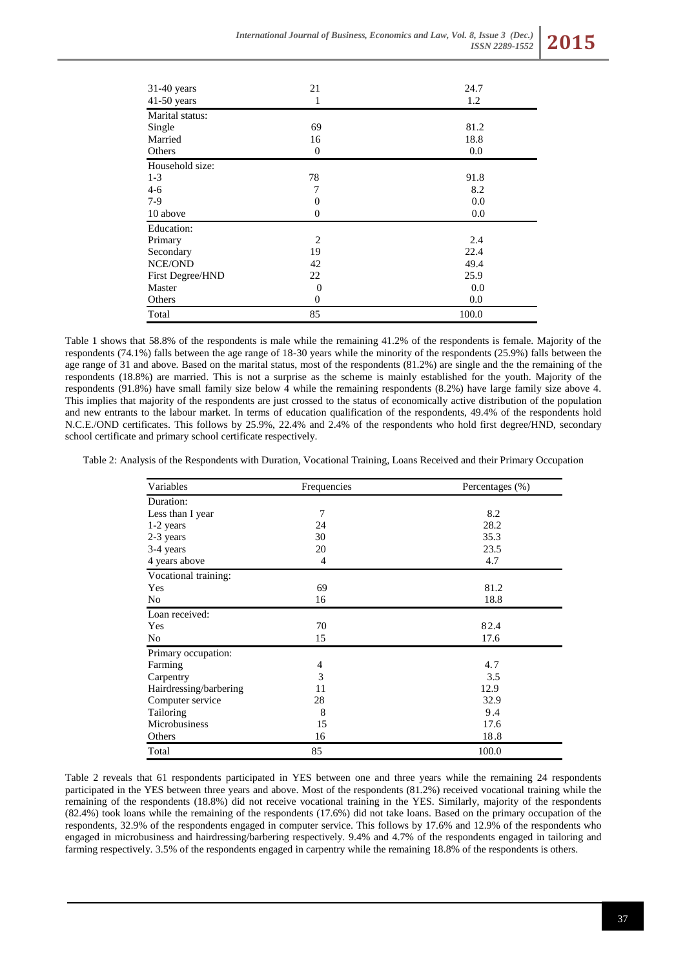| 31-40 years<br>$41-50$ years | 21<br>1          | 24.7<br>1.2 |
|------------------------------|------------------|-------------|
| Marital status:              |                  |             |
| Single                       | 69               | 81.2        |
| Married                      | 16               | 18.8        |
| Others                       | $\boldsymbol{0}$ | 0.0         |
| Household size:              |                  |             |
| $1 - 3$                      | 78               | 91.8        |
| $4-6$                        | 7                | 8.2         |
| $7-9$                        | $\boldsymbol{0}$ | 0.0         |
| 10 above                     | $\overline{0}$   | 0.0         |
| Education:                   |                  |             |
| Primary                      | $\overline{2}$   | 2.4         |
| Secondary                    | 19               | 22.4        |
| NCE/OND                      | 42               | 49.4        |
| First Degree/HND             | 22               | 25.9        |
| Master                       | $\boldsymbol{0}$ | 0.0         |
| Others                       | $\boldsymbol{0}$ | 0.0         |
| Total                        | 85               | 100.0       |

Table 1 shows that 58.8% of the respondents is male while the remaining 41.2% of the respondents is female. Majority of the respondents (74.1%) falls between the age range of 18-30 years while the minority of the respondents (25.9%) falls between the age range of 31 and above. Based on the marital status, most of the respondents (81.2%) are single and the the remaining of the respondents (18.8%) are married. This is not a surprise as the scheme is mainly established for the youth. Majority of the respondents (91.8%) have small family size below 4 while the remaining respondents (8.2%) have large family size above 4. This implies that majority of the respondents are just crossed to the status of economically active distribution of the population and new entrants to the labour market. In terms of education qualification of the respondents, 49.4% of the respondents hold N.C.E./OND certificates. This follows by 25.9%, 22.4% and 2.4% of the respondents who hold first degree/HND, secondary school certificate and primary school certificate respectively.

Table 2: Analysis of the Respondents with Duration, Vocational Training, Loans Received and their Primary Occupation

| Variables              | Frequencies | Percentages (%) |  |
|------------------------|-------------|-----------------|--|
| Duration:              |             |                 |  |
| Less than I year       | 7           | 8.2             |  |
| 1-2 years              | 24          | 28.2            |  |
| 2-3 years              | 30          | 35.3            |  |
| 3-4 years              | 20          | 23.5            |  |
| 4 years above          | 4           | 4.7             |  |
| Vocational training:   |             |                 |  |
| Yes                    | 69          | 81.2            |  |
| No                     | 16          | 18.8            |  |
| Loan received:         |             |                 |  |
| Yes                    | 70          | 82.4            |  |
| No                     | 15          | 17.6            |  |
| Primary occupation:    |             |                 |  |
| Farming                | 4           | 4.7             |  |
| Carpentry              | 3           | 3.5             |  |
| Hairdressing/barbering | 11          | 12.9            |  |
| Computer service       | 28          | 32.9            |  |
| Tailoring              | 8           | 9.4             |  |
| Microbusiness          | 15          | 17.6            |  |
| Others                 | 16          | 18.8            |  |
| Total                  | 85          | 100.0           |  |

Table 2 reveals that 61 respondents participated in YES between one and three years while the remaining 24 respondents participated in the YES between three years and above. Most of the respondents (81.2%) received vocational training while the remaining of the respondents (18.8%) did not receive vocational training in the YES. Similarly, majority of the respondents (82.4%) took loans while the remaining of the respondents (17.6%) did not take loans. Based on the primary occupation of the respondents, 32.9% of the respondents engaged in computer service. This follows by 17.6% and 12.9% of the respondents who engaged in microbusiness and hairdressing/barbering respectively. 9.4% and 4.7% of the respondents engaged in tailoring and farming respectively. 3.5% of the respondents engaged in carpentry while the remaining 18.8% of the respondents is others.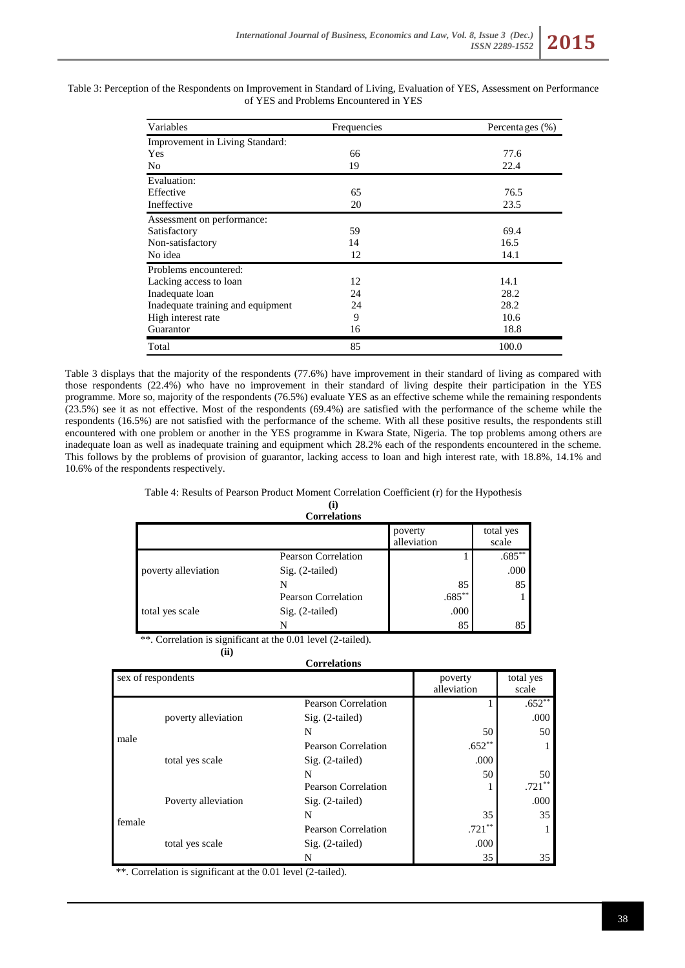

| Variables                         | Frequencies | Percentages $(\% )$ |  |
|-----------------------------------|-------------|---------------------|--|
| Improvement in Living Standard:   |             |                     |  |
| Yes                               | 66          | 77.6                |  |
| No                                | 19          | 22.4                |  |
| Evaluation:                       |             |                     |  |
| Effective                         | 65          | 76.5                |  |
| Ineffective                       | 20          | 23.5                |  |
| Assessment on performance:        |             |                     |  |
| Satisfactory                      | 59          | 69.4                |  |
| Non-satisfactory                  | 14          | 16.5                |  |
| No idea                           | 12          | 14.1                |  |
| Problems encountered:             |             |                     |  |
| Lacking access to loan            | 12          | 14.1                |  |
| Inadequate loan                   | 24          | 28.2                |  |
| Inadequate training and equipment | 24          | 28.2                |  |
| High interest rate                | 9           | 10.6                |  |
| Guarantor                         | 16          | 18.8                |  |
| Total                             | 85          | 100.0               |  |

Table 3: Perception of the Respondents on Improvement in Standard of Living, Evaluation of YES, Assessment on Performance of YES and Problems Encountered in YES

Table 3 displays that the majority of the respondents (77.6%) have improvement in their standard of living as compared with those respondents (22.4%) who have no improvement in their standard of living despite their participation in the YES programme. More so, majority of the respondents (76.5%) evaluate YES as an effective scheme while the remaining respondents (23.5%) see it as not effective. Most of the respondents (69.4%) are satisfied with the performance of the scheme while the respondents (16.5%) are not satisfied with the performance of the scheme. With all these positive results, the respondents still encountered with one problem or another in the YES programme in Kwara State, Nigeria. The top problems among others are inadequate loan as well as inadequate training and equipment which 28.2% each of the respondents encountered in the scheme. This follows by the problems of provision of guarantor, lacking access to loan and high interest rate, with 18.8%, 14.1% and 10.6% of the respondents respectively.

# Table 4: Results of Pearson Product Moment Correlation Coefficient (r) for the Hypothesis

**(i)**

| <b>Correlations</b> |                            |                        |                    |
|---------------------|----------------------------|------------------------|--------------------|
|                     |                            | poverty<br>alleviation | total yes<br>scale |
|                     | <b>Pearson Correlation</b> |                        | .685               |
| poverty alleviation | Sig. (2-tailed)            |                        | .000               |
|                     |                            | 85                     | 85                 |
| total yes scale     | <b>Pearson Correlation</b> | $.685**$               |                    |
|                     | Sig. (2-tailed)            | .000                   |                    |
|                     |                            | 85                     | 85                 |

\*\*. Correlation is significant at the 0.01 level (2-tailed).

**(ii)**

#### **Correlations**

| sex of respondents |                     |                            | poverty     | total yes |
|--------------------|---------------------|----------------------------|-------------|-----------|
|                    |                     |                            | alleviation | scale     |
| male               | poverty alleviation | <b>Pearson Correlation</b> |             | $.652**$  |
|                    |                     | $Sig. (2-tailed)$          |             | .000      |
|                    |                     | N                          | 50          | 50        |
|                    | total yes scale     | Pearson Correlation        | $.652**$    |           |
|                    |                     | $Sig. (2-tailed)$          | .000        |           |
|                    |                     | N                          | 50          | 50        |
| female             | Poverty alleviation | Pearson Correlation        |             | $.721**$  |
|                    |                     | $Sig. (2-tailed)$          |             | .000      |
|                    |                     | N                          | 35          | 35        |
|                    | total yes scale     | <b>Pearson Correlation</b> | $.721**$    |           |
|                    |                     | $Sig. (2-tailed)$          | .000        |           |
|                    |                     | N                          | 35          | 35        |

\*\*. Correlation is significant at the 0.01 level (2-tailed).